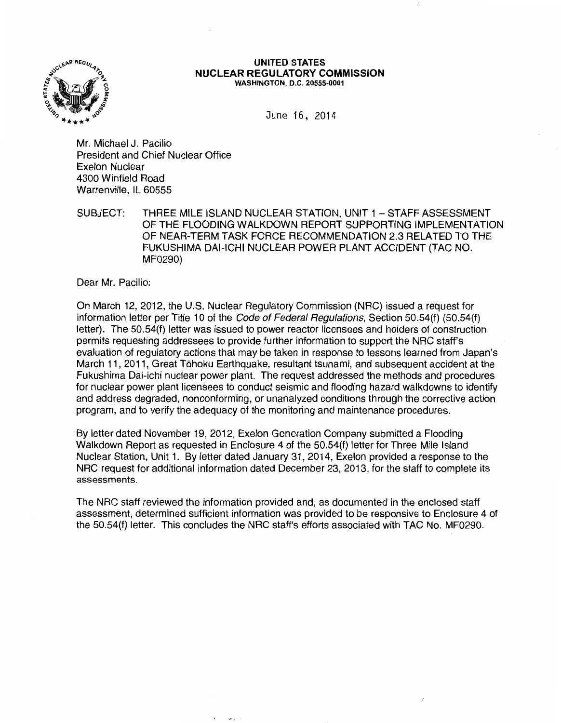

#### **UNITED STATES NUCLEAR REGULATORY COMMISSION**  WASHINGTON, D.C. 20555-0001

June 16, 2014

Mr. Michael J. Pacilio President and Chief Nuclear Office Exelon Nuclear 4300 Winfield Road Warrenville, IL 60555

SUBJECT: THREE MILE ISLAND NUCLEAR STATION, UNIT 1 - STAFF ASSESSMENT OF THE FLOODING WALKDOWN REPORT SUPPORTING IMPLEMENTATION OF NEAR-TERM TASK FORCE RECOMMENDATION 2.3 RELATED TO THE FUKUSHIMA DAI-ICHI NUCLEAR POWER PLANT ACCIDENT (TAG NO. MF0290)

Dear Mr. Pacilio:

On March 12, 2012, the U.S. Nuclear Regulatory Commission (NRC) issued a request for information letter per Title 10 of the Code of Federal Regulations, Section 50.54(f) (50.54(f) letter). The 50.54(f) letter was issued to power reactor licensees and holders of construction permits requesting addressees to provide further information to support the NRC staff's evaluation of regulatory actions that may be taken in response to lessons learned from Japan's March 11, 2011, Great Tohoku Earthquake, resultant tsunami, and subsequent accident at the Fukushima Dai-ichi nuclear power plant. The request addressed the methods and procedures for nuclear power plant licensees to conduct seismic and flooding hazard walkdowns to identify and address degraded, nonconforming, or unanalyzed conditions through the corrective action program, and to verify the adequacy of the monitoring and maintenance procedures.

By letter dated November 19, 2012, Exelon Generation Company submitted a Flooding Walkdown Report as requested in Enclosure 4 of the 50.54(f) letter for Three Mile Island Nuclear Station, Unit 1. By letter dated January 31, 2014, Exelon provided a response to the NRC request for additional information dated December 23, 2013, for the staff to complete its assessments.

The NRC staff reviewed the information provided and, as documented in the enclosed staff assessment, determined sufficient information was provided to be responsive to Enclosure 4 of the 50.54(f) letter. This concludes the NRC staff's efforts associated with TAG No. MF0290.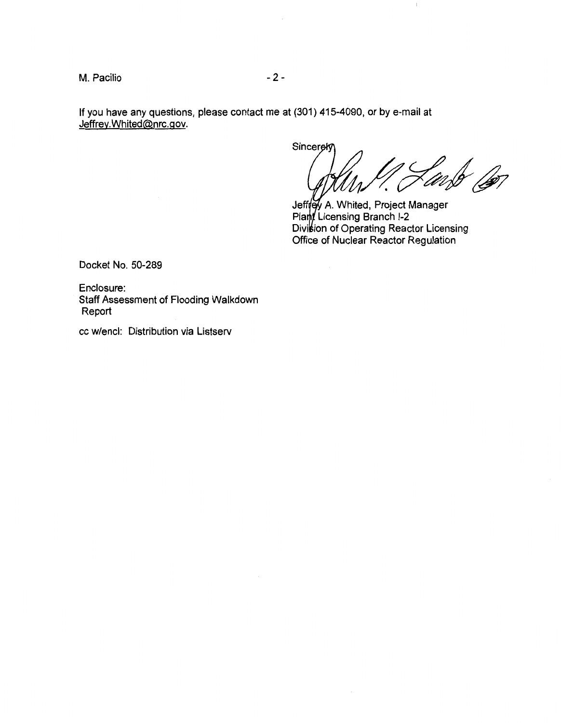M. Pacilio  $-2$  -

If you have any questions, please contact me at (301) 415-4090, or by e-mail at Jeffrey.Whited@nrc.gov.

Sincerek fusb <sub>(b</sub>eg

 $\overline{1}$ 

A. Whited, Project Manager Licensing Branch 1-2 Division of Operating Reactor Licensing Office of Nuclear Reactor Regulation

Docket No. 50-289

Enclosure: Staff Assessment of Flooding Walkdown Report

cc w/encl: Distribution via Listserv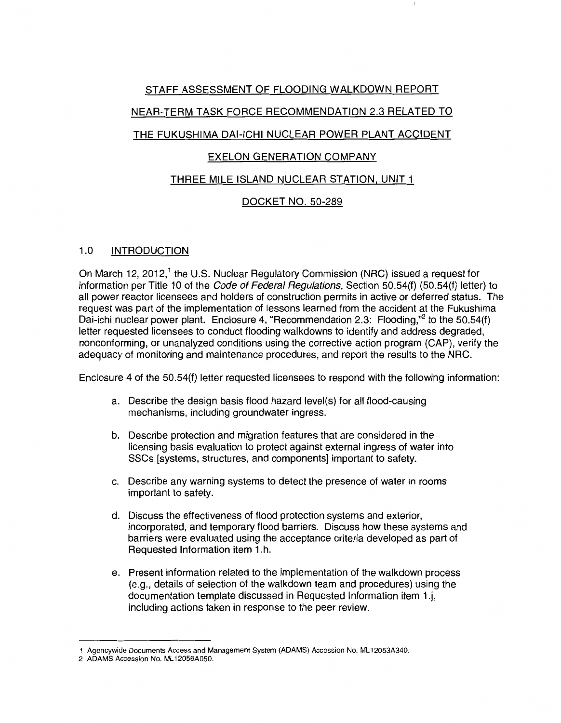## STAFF ASSESSMENT OF FLOODING WALKDOWN REPORT

## NEAR-TERM TASK FORCE RECOMMENDATION 2.3 RELATED TO

## THE FUKUSHIMA DAI-ICHI NUCLEAR POWER PLANT ACCIDENT

## EXELON GENERATION COMPANY

## THREE MILE ISLAND NUCLEAR STATION, UNIT 1

# DOCKET NO. 50-289

### 1.0 INTRODUCTION

On March 12, 2012,<sup>1</sup> the U.S. Nuclear Regulatory Commission (NRC) issued a request for information per Title 10 of the Code of Federal Regulations, Section 50.54(f) (50.54(f) letter) to all power reactor licensees and holders of construction permits in active or deferred status. The request was part of the implementation of lessons learned from the accident at the Fukushima Dai-ichi nuclear power plant. Enclosure 4, "Recommendation 2.3: Flooding,"<sup>2</sup> to the 50.54(f) letter requested licensees to conduct flooding walkdowns to identify and address degraded, nonconforming, or unanalyzed conditions using the corrective action program (CAP), verify the adequacy of monitoring and maintenance procedures, and report the results to the NRC.

Enclosure 4 of the 50.54(f) letter requested licensees to respond with the following information:

- a. Describe the design basis flood hazard level(s) for all flood-causing mechanisms, including groundwater ingress.
- b. Describe protection and migration features that are considered in the licensing basis evaluation to protect against external ingress of water into SSCs [systems, structures, and components] important to safety.
- c. Describe any warning systems to detect the presence of water in rooms important to safety.
- d. Discuss the effectiveness of flood protection systems and exterior, incorporated, and temporary flood barriers. Discuss how these systems and barriers were evaluated using the acceptance criteria developed as part of Requested Information item 1.h.
- e. Present information related to the implementation of the walkdown process (e.g., details of selection of the walkdown team and procedures) using the documentation template discussed in Requested Information item 1.j, including actions taken in response to the peer review.

<sup>1</sup> Agencywide Documents Access and Management System (ADAMS) Accession No. ML 12053A340.

<sup>2</sup> ADAMS Accession No. ML 12056A050.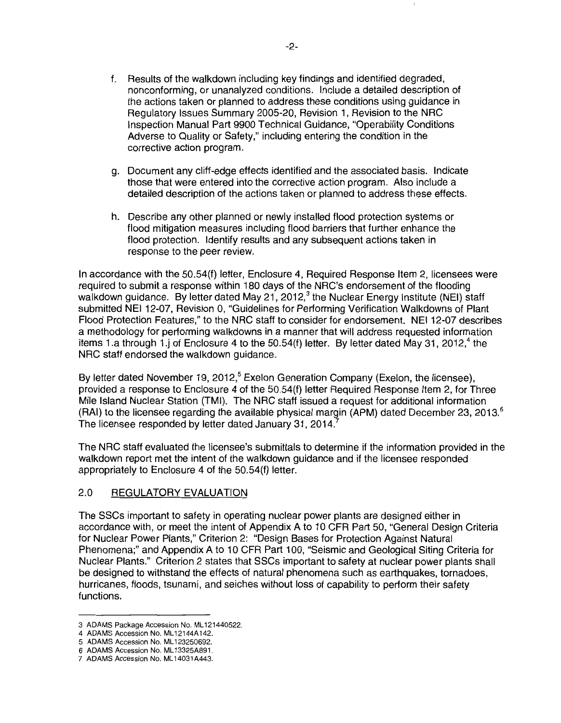- f. Results of the walkdown including key findings and identified degraded, nonconforming, or unanalyzed conditions. Include a detailed description of the actions taken or planned to address these conditions using guidance in Regulatory Issues Summary 2005-20, Revision 1, Revision to the NRC Inspection Manual Part 9900 Technical Guidance, "Operability Conditions Adverse to Quality or Safety," including entering the condition in the corrective action program.
- g. Document any cliff-edge effects identified and the associated basis. Indicate those that were entered into the corrective action program. Also include a detailed description of the actions taken or planned to address these effects.
- h. Describe any other planned or newly installed flood protection systems or flood mitigation measures including flood barriers that further enhance the flood protection. Identify results and any subsequent actions taken in response to the peer review.

In accordance with the 50.54(f) letter, Enclosure 4, Required Response Item 2, licensees were required to submit a response within 180 days of the NRC's endorsement of the flooding walkdown guidance. By letter dated May 21, 2012, $3$  the Nuclear Energy Institute (NEI) staff submitted NEI 12-07, Revision 0, "Guidelines for Performing Verification Walkdowns of Plant Flood Protection Features," to the NRC staff to consider for endorsement. NEI 12-07 describes a methodology for performing walkdowns in a manner that will address requested information items 1.a through 1.j of Enclosure 4 to the  $50.54(f)$  letter. By letter dated May 31, 2012,<sup>4</sup> the NRC staff endorsed the walkdown guidance.

By letter dated November 19, 2012,<sup>5</sup> Exelon Generation Company (Exelon, the licensee), provided a response to Enclosure 4 of the 50.54(f) letter Required Response Item 2, for Three Mile Island Nuclear Station (TMI). The NRC staff issued a request for additional information (RAI) to the licensee regarding the available physical margin (APM) dated December 23, 2013.<sup>6</sup> The licensee responded by letter dated January 31, 2014.

The NRC staff evaluated the licensee's submittals to determine if the information provided in the walkdown report met the intent of the walkdown guidance and if the licensee responded appropriately to Enclosure 4 of the 50.54(f) letter.

### 2.0 REGULATORY EVALUATION

The SSCs important to safety in operating nuclear power plants are designed either in accordance with, or meet the intent of Appendix A to 10 CFR Part 50, "General Design Criteria for Nuclear Power Plants," Criterion 2: "Design Bases for Protection Against Natural Phenomena;" and Appendix A to 10 CFR Part 100, "Seismic and Geological Siting Criteria for Nuclear Plants." Criterion 2 states that SSCs important to safety at nuclear power plants shall be designed to withstand the effects of natural phenomena such as earthquakes, tornadoes, hurricanes, floods, tsunami, and seiches without loss of capability to perform their safety functions.

<sup>3</sup> ADAMS Package Accession No. ML 121440522.

<sup>4</sup> ADAMS Accession No. ML12144A142.

<sup>5</sup> ADAMS Accession No. ML 123250692.

<sup>6</sup> ADAMS Accession No. ML 13325A891.

<sup>7</sup> ADAMS Accession No. ML 14031A443.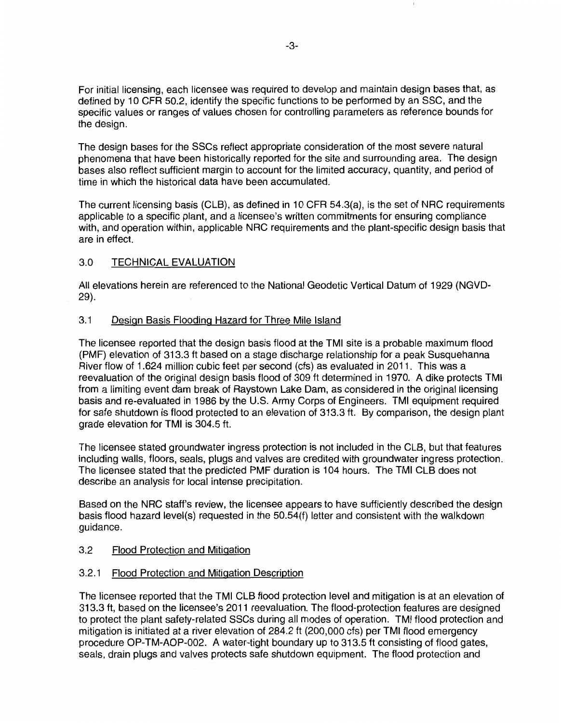For initial licensing, each licensee was required to develop and maintain design bases that, as defined by 10 CFR 50.2, identify the specific functions to be performed by an SSG, and the specific values or ranges of values chosen for controlling parameters as reference bounds for the design.

The design bases for the SSCs reflect appropriate consideration of the most severe natural phenomena that have been historically reported for the site and surrounding area. The design bases also reflect sufficient margin to account for the limited accuracy, quantity, and period of time in which the historical data have been accumulated.

The current licensing basis (CLB), as defined in 10 CFR 54.3(a), is the set of NRC requirements applicable to a specific plant, and a licensee's written commitments for ensuring compliance with, and operation within, applicable NRC requirements and the plant-specific design basis that are in effect.

## 3.0 TECHNICAL EVALUATION

All elevations herein are referenced to the National Geodetic Vertical Datum of 1929 (NGVD-29).

### 3.1 Design Basis Flooding Hazard for Three Mile Island

The licensee reported that the design basis flood at the TMI site is a probable maximum flood (PMF) elevation of 313.3 ft based on a stage discharge relationship for a peak Susquehanna River flow of 1.624 million cubic feet per second (cfs) as evaluated in 2011. This was a reevaluation of the original design basis flood of 309 ft determined in 1970. A dike protects TMI from a limiting event dam break of Raystown Lake Dam, as considered in the original licensing basis and re-evaluated in 1986 by the U.S. Army Corps of Engineers. TMI equipment required for safe shutdown is flood protected to an elevation of 313.3 ft. By comparison, the design plant grade elevation for TMI is 304.5 ft.

The licensee stated groundwater ingress protection is not included in the CLB, but that features including walls, floors, seals, plugs and valves are credited with groundwater ingress protection. The licensee stated that the predicted PMF duration is 104 hours. The TMI CLB does not describe an analysis for local intense precipitation.

Based on the NRC staff's review, the licensee appears to have sufficiently described the design basis flood hazard level(s) requested in the 50.54(f) letter and consistent with the walkdown guidance.

### 3.2 Flood Protection and Mitigation

### 3.2.1 Flood Protection and Mitigation Description

The licensee reported that the TMI CLB flood protection level and mitigation is at an elevation of 313.3 ft, based on the licensee's 2011 reevaluation. The flood-protection features are designed to protect the plant safety-related SSCs during all modes of operation. TMI flood protection and mitigation is initiated at a river elevation of 284.2 ft (200,000 cfs) per TMI flood emergency procedure OP-TM-AOP-002. A water-tight boundary up to 313.5 ft consisting of flood gates, seals, drain plugs and valves protects safe shutdown equipment. The flood protection and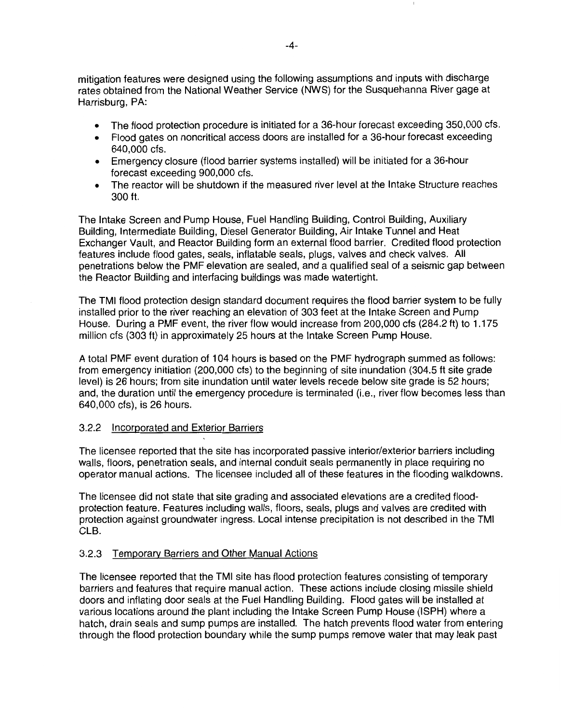mitigation features were designed using the following assumptions and inputs with discharge rates obtained from the National Weather Service (NWS) for the Susquehanna River gage at Harrisburg, PA:

- The flood protection procedure is initiated for a 36-hour forecast exceeding 350,000 cfs.
- Flood gates on noncritical access doors are installed for a 36-hour forecast exceeding 640,000 cfs.
- Emergency closure (flood barrier systems installed) will be initiated for a 36-hour forecast exceeding 900,000 cfs.
- The reactor will be shutdown if the measured river level at the Intake Structure reaches 300ft.

The Intake Screen and Pump House, Fuel Handling Building, Control Building, Auxiliary Building, Intermediate Building, Diesel Generator Building, Air Intake Tunnel and Heat Exchanger Vault, and Reactor Building form an external flood barrier. Credited flood protection features include flood gates, seals, inflatable seals, plugs, valves and check valves. All penetrations below the PMF elevation are sealed, and a qualified seal of a seismic gap between the Reactor Building and interfacing buildings was made watertight.

The TMI flood protection design standard document requires the flood barrier system to be fully installed prior to the river reaching an elevation of 303 feet at the Intake Screen and Pump House. During a PMF event, the river flow would increase from 200,000 cfs (284.2 ft) to 1.175 million cfs (303ft) in approximately 25 hours at the Intake Screen Pump House.

A total PMF event duration of 1 04 hours is based on the PMF hydrograph summed as follows: from emergency initiation (200,000 cfs) to the beginning of site inundation (304.5 ft site grade level) is 26 hours; from site inundation until water levels recede below site grade is 52 hours; and, the duration until the emergency procedure is terminated (i.e., river flow becomes less than 640,000 cfs), is 26 hours.

#### 3.2.2 Incorporated and Exterior Barriers

The licensee reported that the site has incorporated passive interior/exterior barriers including walls, floors, penetration seals, and internal conduit seals permanently in place requiring no operator manual actions. The licensee included all of these features in the flooding walkdowns.

The licensee did not state that site grading and associated elevations are a credited floodprotection feature. Features including walls, floors, seals, plugs and valves are credited with protection against groundwater ingress. Local intense precipitation is not described in the TMI CLB.

### 3.2.3 Temporary Barriers and Other Manual Actions

The licensee reported that the TMI site has flood protection features consisting of temporary barriers and features that require manual action. These actions include closing missile shield doors and inflating door seals at the Fuel Handling Building. Flood gates will be installed at various locations around the plant including the Intake Screen Pump House (ISPH) where a hatch, drain seals and sump pumps are installed. The hatch prevents flood water from entering through the flood protection boundary while the sump pumps remove water that may leak past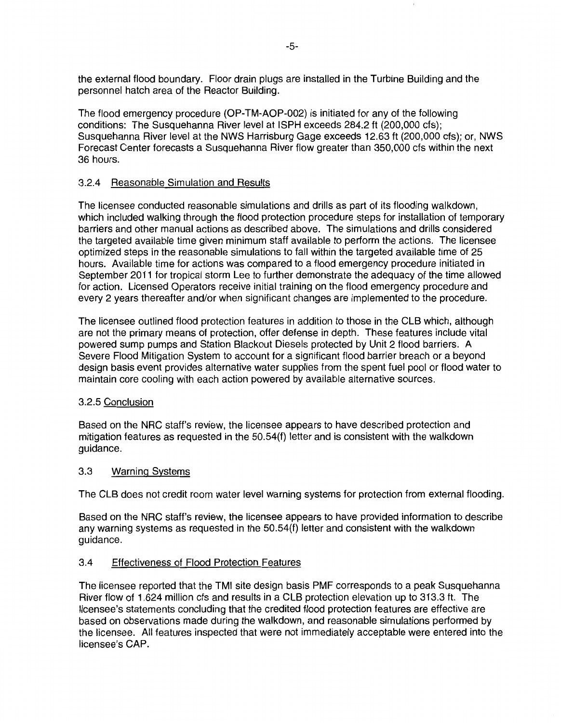the external flood boundary. Floor drain plugs are installed in the Turbine Building and the personnel hatch area of the Reactor Building.

The flood emergency procedure (OP-TM-AOP-002) is initiated for any of the following conditions: The Susquehanna River level at ISPH exceeds 284.2 ft (200,000 cfs); Susquehanna River level at the NWS Harrisburg Gage exceeds 12.63 ft {200,000 cfs); or, NWS Forecast Center forecasts a Susquehanna River flow greater than 350,000 cfs within the next 36 hours.

#### 3.2.4 Reasonable Simulation and Results

The licensee conducted reasonable simulations and drills as part of its flooding walkdown, which included walking through the flood protection procedure steps for installation of temporary barriers and other manual actions as described above. The simulations and drills considered the targeted available time given minimum staff available to perform the actions. The licensee optimized steps in the reasonable simulations to fall within the targeted available time of 25 hours. Available time for actions was compared to a flood emergency procedure initiated in September 2011 for tropical storm Lee to further demonstrate the adequacy of the time allowed for action. Licensed Operators receive initial training on the flood emergency procedure and every 2 years thereafter and/or when significant changes are implemented to the procedure.

The licensee outlined flood protection features in addition to those in the CLB which, although are not the primary means of protection, offer defense in depth. These features include vital powered sump pumps and Station Blackout Diesels protected by Unit 2 flood barriers. A Severe Flood Mitigation System to account for a significant flood barrier breach or a beyond design basis event provides alternative water supplies from the spent fuel pool or flood water to maintain core cooling with each action powered by available alternative sources.

#### 3.2.5 Conclusion

Based on the NRC staff's review, the licensee appears to have described protection and mitigation features as requested in the 50.54(f) letter and is consistent with the walkdown guidance.

#### 3.3 Warning Systems

The CLB does not credit room water level warning systems for protection from external flooding.

Based on the NRC staff's review, the licensee appears to have provided information to describe any warning systems as requested in the 50.54(f) letter and consistent with the walkdown guidance.

### 3.4 Effectiveness of Flood Protection Features

The licensee reported that the TMI site design basis PMF corresponds to a peak Susquehanna River flow of 1.624 million cfs and results in a CLB protection elevation up to 313.3 ft. The licensee's statements concluding that the credited flood protection features are effective are based on observations made during the walkdown, and reasonable simulations performed by the licensee. All features inspected that were not immediately acceptable were entered into the licensee's CAP.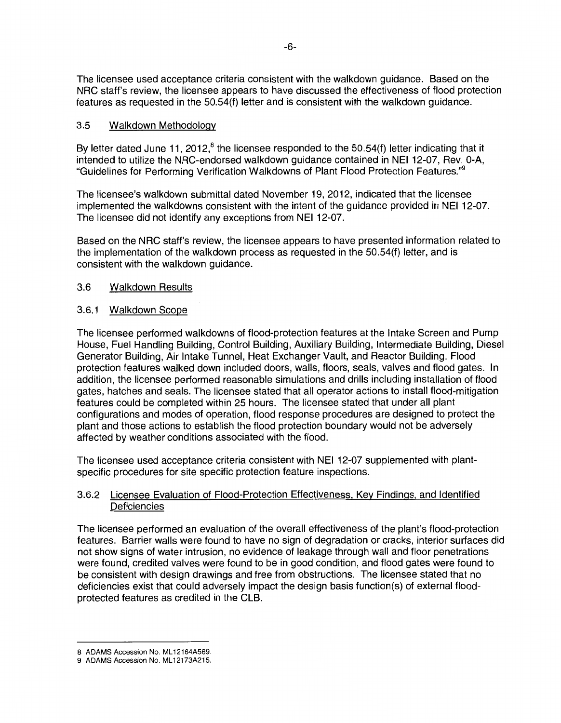The licensee used acceptance criteria consistent with the walkdown guidance. Based on the NRC staff's review, the licensee appears to have discussed the effectiveness of flood protection features as requested in the 50.54(f) letter and is consistent with the walkdown guidance.

### 3.5 Walkdown Methodology

By letter dated June 11, 2012, $^8$  the licensee responded to the 50.54(f) letter indicating that it intended to utilize the NRC-endorsed walkdown guidance contained in NEI 12-07, Rev. 0-A, "Guidelines for Performing Verification Walkdowns of Plant Flood Protection Features."<sup>9</sup>

The licensee's walkdown submittal dated November 19, 2012, indicated that the licensee implemented the walkdowns consistent with the intent of the guidance provided in NEI 12-07. The licensee did not identify any exceptions from NEI 12-07.

Based on the NRC staff's review, the licensee appears to have presented information related to the implementation of the walkdown process as requested in the 50.54(f) letter, and is consistent with the walkdown guidance.

### 3.6 Walkdown Results

### 3.6.1 Walkdown Scope

The licensee performed walkdowns of flood-protection features at the Intake Screen and Pump House, Fuel Handling Building, Control Building, Auxiliary Building, Intermediate Building, Diesel Generator Building, Air Intake Tunnel, Heat Exchanger Vault, and Reactor Building. Flood protection features walked down included doors, walls, floors, seals, valves and flood gates. In addition, the licensee performed reasonable simulations and drills including installation of flood gates, hatches and seals. The licensee stated that all operator actions to install flood-mitigation features could be completed within 25 hours. The licensee stated that under all plant configurations and modes of operation, flood response procedures are designed to protect the plant and those actions to establish the flood protection boundary would not be adversely affected by weather conditions associated with the flood.

The licensee used acceptance criteria consistent with NEI 12-07 supplemented with plantspecific procedures for site specific protection feature inspections.

### 3.6.2 Licensee Evaluation of Flood-Protection Effectiveness. Key Findings, and Identified **Deficiencies**

The licensee performed an evaluation of the overall effectiveness of the plant's flood-protection features. Barrier walls were found to have no sign of degradation or cracks, interior surfaces did not show signs of water intrusion, no evidence of leakage through wall and floor penetrations were found, credited valves were found to be in good condition, and flood gates were found to be consistent with design drawings and free from obstructions. The licensee stated that no deficiencies exist that could adversely impact the design basis function(s) of external floodprotected features as credited in the CLB.

<sup>8</sup> ADAMS Accession No. ML 12164A569.

<sup>9</sup> ADAMS Accession No. ML 12173A215.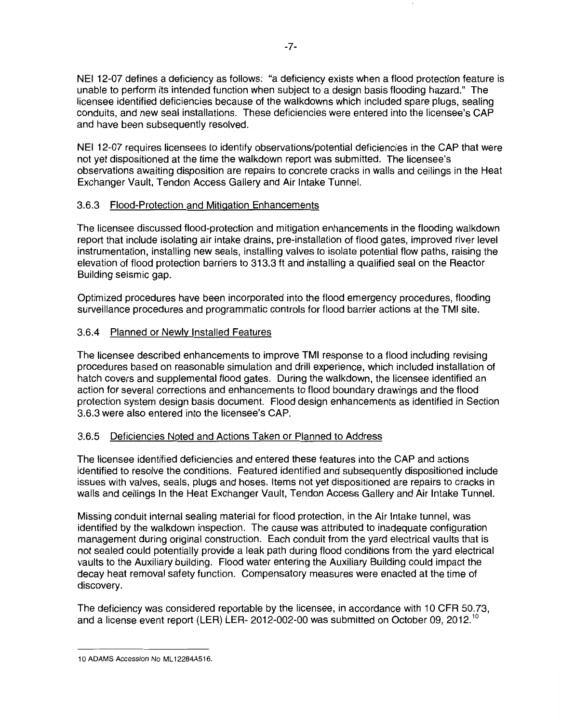NEI 12-07 defines a deficiency as follows: "a deficiency exists when a flood protection feature is unable to perform its intended function when subject to a design basis flooding hazard." The licensee identified deficiencies because of the walkdowns which included spare plugs, sealing conduits, and new seal installations. These deficiencies were entered into the licensee's CAP and have been subsequently resolved.

NEI 12-07 requires licensees to identify observations/potential deficiencies in the CAP that were not yet dispositioned at the time the walkdown report was submitted. The licensee's observations awaiting disposition are repairs to concrete cracks in walls and ceilings in the Heat Exchanger Vault, Tendon Access Gallery and Air Intake Tunnel.

### 3.6.3 Flood-Protection and Mitigation Enhancements

The licensee discussed flood-protection and mitigation enhancements in the flooding walkdown report that include isolating air intake drains, pre-installation of flood gates, improved river level instrumentation, installing new seals, installing valves to isolate potential flow paths, raising the elevation of flood protection barriers to 313.3 ft and installing a qualified seal on the Reactor Building seismic gap.

Optimized procedures have been incorporated into the flood emergency procedures, flooding surveillance procedures and programmatic controls for flood barrier actions at the TMI site.

### 3.6.4 Planned or Newly Installed Features

The licensee described enhancements to improve TMI response to a flood including revising procedures based on reasonable simulation and drill experience, which included installation of hatch covers and supplemental flood gates. During the walkdown, the licensee identified an action for several corrections and enhancements to flood boundary drawings and the flood protection system design basis document. Flood design enhancements as identified in Section 3.6.3 were also entered into the licensee's CAP.

### 3.6.5 Deficiencies Noted and Actions Taken or Planned to Address

The licensee identified deficiencies and entered these features into the CAP and actions identified to resolve the conditions. Featured identified and subsequently dispositioned include issues with valves, seals, plugs and hoses. Items not yet dispositioned are repairs to cracks in walls and ceilings In the Heat Exchanger Vault, Tendon Access Gallery and Air Intake Tunnel.

Missing conduit internal sealing material for flood protection, in the Air Intake tunnel, was identified by the walkdown inspection. The cause was attributed to inadequate configuration management during original construction. Each conduit from the yard electrical vaults that is not sealed could potentially provide a leak path during flood conditions from the yard electrical vaults to the Auxiliary building. Flood water entering the Auxiliary Building could impact the decay heat removal safety function. Compensatory measures were enacted at the time of discovery.

The deficiency was considered reportable by the licensee, in accordance with 10 CFR 50.73, and a license event report (LER) LER- 2012-002-00 was submitted on October 09, 2012.<sup>10</sup>

<sup>10</sup> ADAMS Accession No ML12284A516.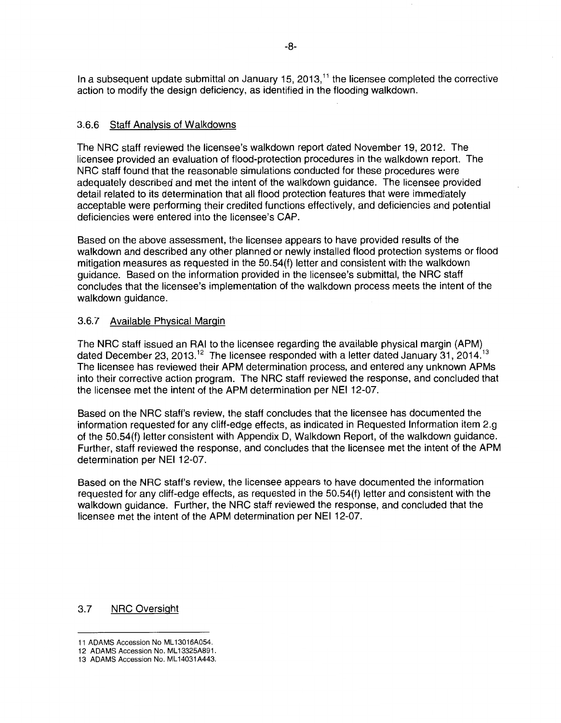In a subsequent update submittal on January 15, 2013, $<sup>11</sup>$  the licensee completed the corrective</sup> action to modify the design deficiency, as identified in the flooding walkdown.

### 3.6.6 Staff Analysis of Walkdowns

The NRC staff reviewed the licensee's walkdown report dated November 19, 2012. The licensee provided an evaluation of flood-protection procedures in the walkdown report. The NRC staff found that the reasonable simulations conducted for these procedures were adequately described and met the intent of the walkdown guidance. The licensee provided detail related to its determination that all flood protection features that were immediately acceptable were performing their credited functions effectively, and deficiencies and potential deficiencies were entered into the licensee's CAP.

Based on the above assessment, the licensee appears to have provided results of the walkdown and described any other planned or newly installed flood protection systems or flood mitigation measures as requested in the 50.54(f) letter and consistent with the walkdown guidance. Based on the information provided in the licensee's submittal, the NRC staff concludes that the licensee's implementation of the walkdown process meets the intent of the walkdown guidance.

### 3.6.7 Available Physical Margin

The NRC staff issued an RAI to the licensee regarding the available physical margin (APM) dated December 23, 2013.<sup>12</sup> The licensee responded with a letter dated January 31, 2014.<sup>13</sup> The licensee has reviewed their APM determination process, and entered any unknown APMs into their corrective action program. The NRC staff reviewed the response, and concluded that the licensee met the intent of the APM determination per NEI 12-07.

Based on the NRC staff's review, the staff concludes that the licensee has documented the information requested for any cliff-edge effects, as indicated in Requested Information item 2.g of the 50.54(f) letter consistent with Appendix D, Walkdown Report, of the walkdown guidance. Further, staff reviewed the response, and concludes that the licensee met the intent of the APM determination per NEI 12-07.

Based on the NRC staff's review, the licensee appears to have documented the information requested for any cliff-edge effects, as requested in the 50.54(f) letter and consistent with the walkdown guidance. Further, the NRC staff reviewed the response, and concluded that the licensee met the intent of the APM determination per NEI 12-07.

#### 3.7 NRC Oversight

<sup>11</sup> ADAMS Accession No ML 13016A054.

<sup>12</sup> ADAMS Accession No. ML13325A891.

<sup>13</sup> ADAMS Accession No. ML 14031 A443.